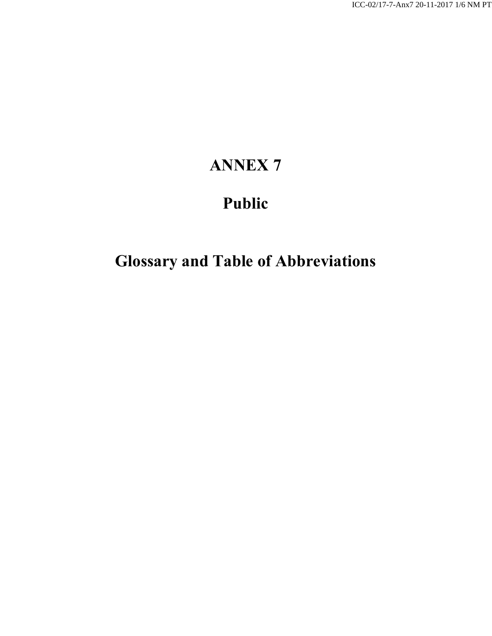## **ANNEX 7**

## **Public**

# **Glossary and Table of Abbreviations**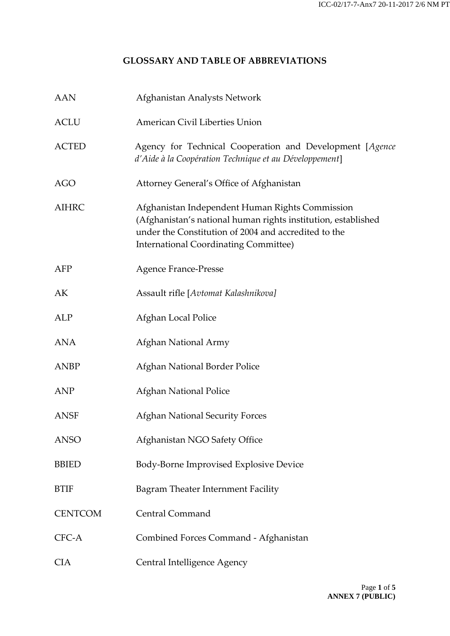#### **GLOSSARY AND TABLE OF ABBREVIATIONS**

| <b>AAN</b>     | Afghanistan Analysts Network                                                                                                                                                                                             |
|----------------|--------------------------------------------------------------------------------------------------------------------------------------------------------------------------------------------------------------------------|
| <b>ACLU</b>    | American Civil Liberties Union                                                                                                                                                                                           |
| <b>ACTED</b>   | Agency for Technical Cooperation and Development [Agence<br>d'Aide à la Coopération Technique et au Développement]                                                                                                       |
| <b>AGO</b>     | Attorney General's Office of Afghanistan                                                                                                                                                                                 |
| <b>AIHRC</b>   | Afghanistan Independent Human Rights Commission<br>(Afghanistan's national human rights institution, established<br>under the Constitution of 2004 and accredited to the<br><b>International Coordinating Committee)</b> |
| AFP            | <b>Agence France-Presse</b>                                                                                                                                                                                              |
| AK             | Assault rifle [Avtomat Kalashnikova]                                                                                                                                                                                     |
| ALP            | Afghan Local Police                                                                                                                                                                                                      |
| <b>ANA</b>     | Afghan National Army                                                                                                                                                                                                     |
| <b>ANBP</b>    | Afghan National Border Police                                                                                                                                                                                            |
| <b>ANP</b>     | <b>Afghan National Police</b>                                                                                                                                                                                            |
| <b>ANSF</b>    | <b>Afghan National Security Forces</b>                                                                                                                                                                                   |
| <b>ANSO</b>    | Afghanistan NGO Safety Office                                                                                                                                                                                            |
| <b>BBIED</b>   | Body-Borne Improvised Explosive Device                                                                                                                                                                                   |
| <b>BTIF</b>    | Bagram Theater Internment Facility                                                                                                                                                                                       |
| <b>CENTCOM</b> | <b>Central Command</b>                                                                                                                                                                                                   |
| CFC-A          | Combined Forces Command - Afghanistan                                                                                                                                                                                    |
| <b>CIA</b>     | Central Intelligence Agency                                                                                                                                                                                              |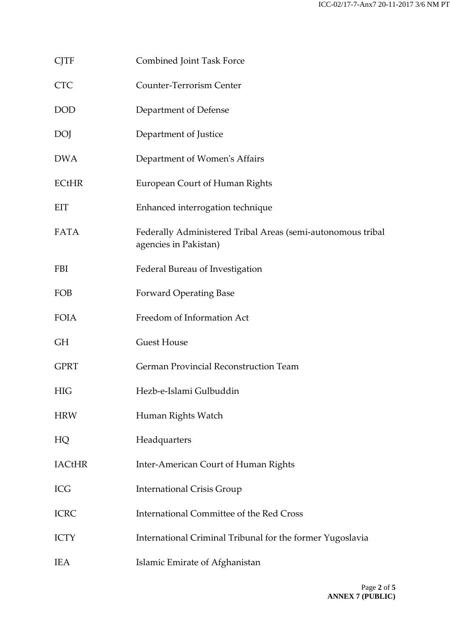| <b>CJTF</b>   | Combined Joint Task Force                                                            |
|---------------|--------------------------------------------------------------------------------------|
| <b>CTC</b>    | <b>Counter-Terrorism Center</b>                                                      |
| <b>DOD</b>    | Department of Defense                                                                |
| <b>DOJ</b>    | Department of Justice                                                                |
| <b>DWA</b>    | Department of Women's Affairs                                                        |
| <b>ECtHR</b>  | European Court of Human Rights                                                       |
| EIT           | Enhanced interrogation technique                                                     |
| <b>FATA</b>   | Federally Administered Tribal Areas (semi-autonomous tribal<br>agencies in Pakistan) |
| <b>FBI</b>    | Federal Bureau of Investigation                                                      |
| FOB           | <b>Forward Operating Base</b>                                                        |
| <b>FOIA</b>   | Freedom of Information Act                                                           |
| <b>GH</b>     | <b>Guest House</b>                                                                   |
| <b>GPRT</b>   | German Provincial Reconstruction Team                                                |
| <b>HIG</b>    | Hezb-e-Islami Gulbuddin                                                              |
| <b>HRW</b>    | Human Rights Watch                                                                   |
| HQ            | Headquarters                                                                         |
| <b>IACtHR</b> | Inter-American Court of Human Rights                                                 |
| ICG           | <b>International Crisis Group</b>                                                    |
| <b>ICRC</b>   | International Committee of the Red Cross                                             |
| <b>ICTY</b>   | International Criminal Tribunal for the former Yugoslavia                            |
| <b>IEA</b>    | Islamic Emirate of Afghanistan                                                       |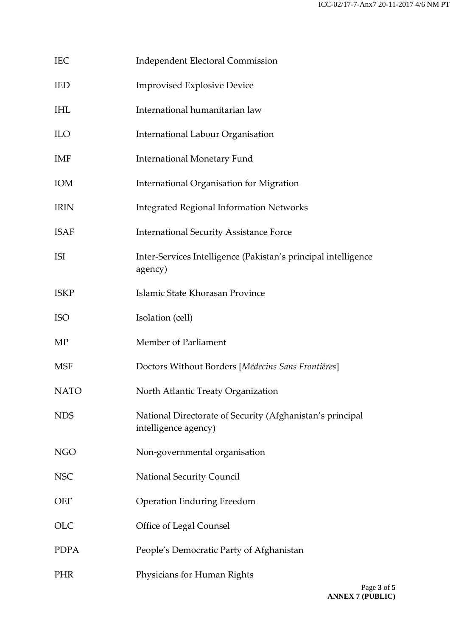| IEC | Independent Electoral Commission |
|-----|----------------------------------|
|-----|----------------------------------|

- IED Improvised Explosive Device
- IHL International humanitarian law
- ILO International Labour Organisation
- IMF International Monetary Fund
- IOM International Organisation for Migration
- IRIN Integrated Regional Information Networks
- ISAF International Security Assistance Force
- ISI Inter-Services Intelligence (Pakistan's principal intelligence agency)
- ISKP Islamic State Khorasan Province
- ISO Isolation (cell)
- MP Member of Parliament
- MSF Doctors Without Borders [*Médecins Sans Frontières*]
- NATO North Atlantic Treaty Organization
- NDS National Directorate of Security (Afghanistan's principal intelligence agency)
- NGO Non-governmental organisation
- NSC National Security Council
- OEF Operation Enduring Freedom
- OLC **Office of Legal Counsel**
- PDPA People's Democratic Party of Afghanistan
- PHR Physicians for Human Rights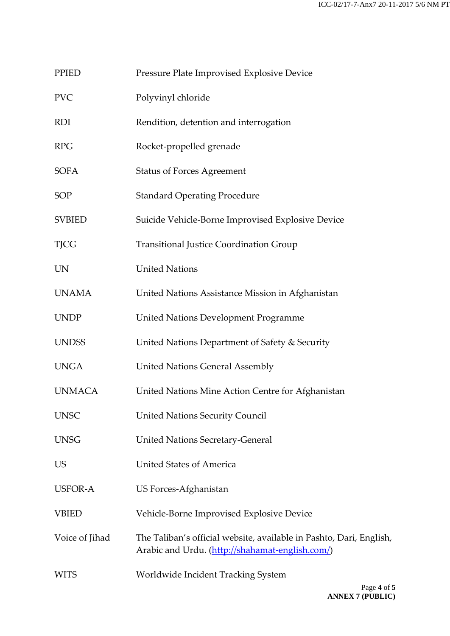| PPIED |  | Pressure Plate Improvised Explosive Device |  |  |
|-------|--|--------------------------------------------|--|--|
|       |  |                                            |  |  |

- PVC Polyvinyl chloride
- RDI Rendition, detention and interrogation
- RPG Rocket-propelled grenade
- SOFA Status of Forces Agreement
- SOP Standard Operating Procedure
- SVBIED Suicide Vehicle-Borne Improvised Explosive Device
- TJCG Transitional Justice Coordination Group
- UN United Nations
- UNAMA United Nations Assistance Mission in Afghanistan
- UNDP United Nations Development Programme
- UNDSS United Nations Department of Safety & Security
- UNGA United Nations General Assembly
- UNMACA United Nations Mine Action Centre for Afghanistan
- UNSC United Nations Security Council
- UNSG United Nations Secretary-General
- US United States of America
- USFOR-A US Forces-Afghanistan
- VBIED Vehicle-Borne Improvised Explosive Device
- Voice of Jihad The Taliban's official website, available in Pashto, Dari, English, Arabic and Urdu. [\(http://shahamat-english.com/\)](http://shahamat-english.com/)
- WITS Worldwide Incident Tracking System